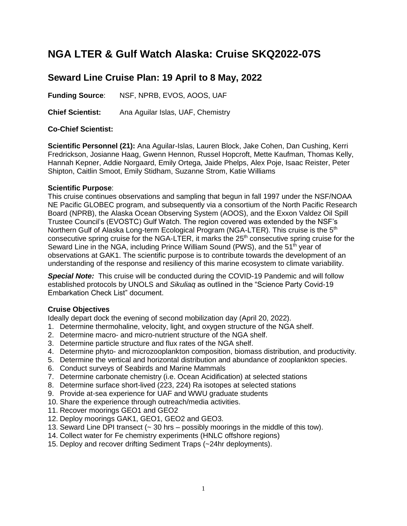# **NGA LTER & Gulf Watch Alaska: Cruise SKQ2022-07S**

## **Seward Line Cruise Plan: 19 April to 8 May, 2022**

**Funding Source**: NSF, NPRB, EVOS, AOOS, UAF

**Chief Scientist:** Ana Aguilar Islas, UAF, Chemistry

### **Co-Chief Scientist:**

**Scientific Personnel (21):** Ana Aguilar-Islas, Lauren Block, Jake Cohen, Dan Cushing, Kerri Fredrickson, Josianne Haag, Gwenn Hennon, Russel Hopcroft, Mette Kaufman, Thomas Kelly, Hannah Kepner, Addie Norgaard, Emily Ortega, Jaide Phelps, Alex Poje, Isaac Reister, Peter Shipton, Caitlin Smoot, Emily Stidham, Suzanne Strom, Katie Williams

#### **Scientific Purpose**:

This cruise continues observations and sampling that begun in fall 1997 under the NSF/NOAA NE Pacific GLOBEC program, and subsequently via a consortium of the North Pacific Research Board (NPRB), the Alaska Ocean Observing System (AOOS), and the Exxon Valdez Oil Spill Trustee Council's (EVOSTC) Gulf Watch. The region covered was extended by the NSF's Northern Gulf of Alaska Long-term Ecological Program (NGA-LTER). This cruise is the 5<sup>th</sup> consecutive spring cruise for the NGA-LTER, it marks the 25<sup>th</sup> consecutive spring cruise for the Seward Line in the NGA, including Prince William Sound (PWS), and the 51<sup>th</sup> year of observations at GAK1. The scientific purpose is to contribute towards the development of an understanding of the response and resiliency of this marine ecosystem to climate variability.

*Special Note:* This cruise will be conducted during the COVID-19 Pandemic and will follow established protocols by UNOLS and *Sikuliaq* as outlined in the "Science Party Covid-19 Embarkation Check List" document.

### **Cruise Objectives**

Ideally depart dock the evening of second mobilization day (April 20, 2022).

- 1. Determine thermohaline, velocity, light, and oxygen structure of the NGA shelf.
- 2. Determine macro- and micro-nutrient structure of the NGA shelf.
- 3. Determine particle structure and flux rates of the NGA shelf.
- 4. Determine phyto- and microzooplankton composition, biomass distribution, and productivity.
- 5. Determine the vertical and horizontal distribution and abundance of zooplankton species.
- 6. Conduct surveys of Seabirds and Marine Mammals
- 7. Determine carbonate chemistry (i.e. Ocean Acidification) at selected stations
- 8. Determine surface short-lived (223, 224) Ra isotopes at selected stations
- 9. Provide at-sea experience for UAF and WWU graduate students
- 10. Share the experience through outreach/media activities.
- 11. Recover moorings GEO1 and GEO2
- 12. Deploy moorings GAK1, GEO1, GEO2 and GEO3.
- 13. Seward Line DPI transect  $\left(\sim 30 \text{ hrs} \text{possibly moving in the middle of this town}\right)$ .
- 14. Collect water for Fe chemistry experiments (HNLC offshore regions)
- 15. Deploy and recover drifting Sediment Traps (~24hr deployments).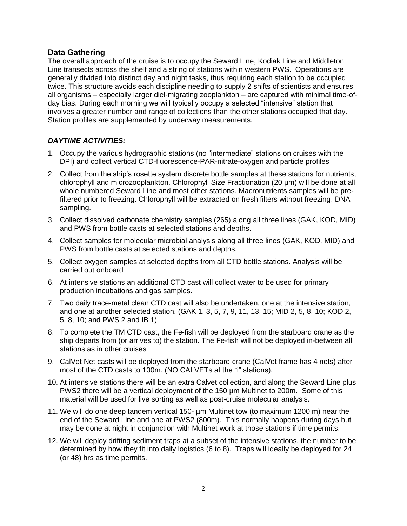### **Data Gathering**

The overall approach of the cruise is to occupy the Seward Line, Kodiak Line and Middleton Line transects across the shelf and a string of stations within western PWS. Operations are generally divided into distinct day and night tasks, thus requiring each station to be occupied twice. This structure avoids each discipline needing to supply 2 shifts of scientists and ensures all organisms – especially larger diel-migrating zooplankton – are captured with minimal time-ofday bias. During each morning we will typically occupy a selected "intensive" station that involves a greater number and range of collections than the other stations occupied that day. Station profiles are supplemented by underway measurements.

### *DAYTIME ACTIVITIES:*

- 1. Occupy the various hydrographic stations (no "intermediate" stations on cruises with the DPI) and collect vertical CTD-fluorescence-PAR-nitrate-oxygen and particle profiles
- 2. Collect from the ship's rosette system discrete bottle samples at these stations for nutrients, chlorophyll and microzooplankton. Chlorophyll Size Fractionation (20 µm) will be done at all whole numbered Seward Line and most other stations. Macronutrients samples will be prefiltered prior to freezing. Chlorophyll will be extracted on fresh filters without freezing. DNA sampling.
- 3. Collect dissolved carbonate chemistry samples (265) along all three lines (GAK, KOD, MID) and PWS from bottle casts at selected stations and depths.
- 4. Collect samples for molecular microbial analysis along all three lines (GAK, KOD, MID) and PWS from bottle casts at selected stations and depths.
- 5. Collect oxygen samples at selected depths from all CTD bottle stations. Analysis will be carried out onboard
- 6. At intensive stations an additional CTD cast will collect water to be used for primary production incubations and gas samples.
- 7. Two daily trace-metal clean CTD cast will also be undertaken, one at the intensive station, and one at another selected station. (GAK 1, 3, 5, 7, 9, 11, 13, 15; MID 2, 5, 8, 10; KOD 2, 5, 8, 10; and PWS 2 and IB 1)
- 8. To complete the TM CTD cast, the Fe-fish will be deployed from the starboard crane as the ship departs from (or arrives to) the station. The Fe-fish will not be deployed in-between all stations as in other cruises
- 9. CalVet Net casts will be deployed from the starboard crane (CalVet frame has 4 nets) after most of the CTD casts to 100m. (NO CALVETs at the "i" stations).
- 10. At intensive stations there will be an extra Calvet collection, and along the Seward Line plus PWS2 there will be a vertical deployment of the 150 µm Multinet to 200m. Some of this material will be used for live sorting as well as post-cruise molecular analysis.
- 11. We will do one deep tandem vertical 150- µm Multinet tow (to maximum 1200 m) near the end of the Seward Line and one at PWS2 (800m). This normally happens during days but may be done at night in conjunction with Multinet work at those stations if time permits.
- 12. We will deploy drifting sediment traps at a subset of the intensive stations, the number to be determined by how they fit into daily logistics (6 to 8). Traps will ideally be deployed for 24 (or 48) hrs as time permits.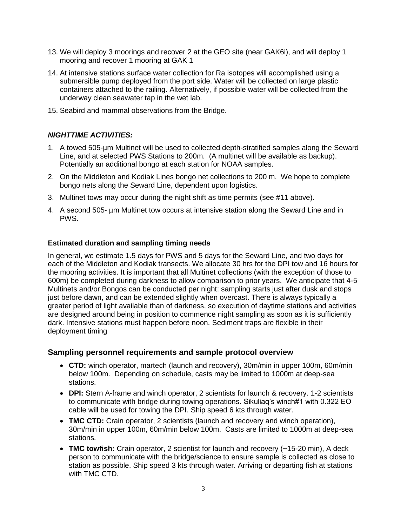- 13. We will deploy 3 moorings and recover 2 at the GEO site (near GAK6i), and will deploy 1 mooring and recover 1 mooring at GAK 1
- 14. At intensive stations surface water collection for Ra isotopes will accomplished using a submersible pump deployed from the port side. Water will be collected on large plastic containers attached to the railing. Alternatively, if possible water will be collected from the underway clean seawater tap in the wet lab.
- 15. Seabird and mammal observations from the Bridge.

### *NIGHTTIME ACTIVITIES:*

- 1. A towed 505-µm Multinet will be used to collected depth-stratified samples along the Seward Line, and at selected PWS Stations to 200m. (A multinet will be available as backup). Potentially an additional bongo at each station for NOAA samples.
- 2. On the Middleton and Kodiak Lines bongo net collections to 200 m. We hope to complete bongo nets along the Seward Line, dependent upon logistics.
- 3. Multinet tows may occur during the night shift as time permits (see #11 above).
- 4. A second 505- µm Multinet tow occurs at intensive station along the Seward Line and in PWS.

### **Estimated duration and sampling timing needs**

In general, we estimate 1.5 days for PWS and 5 days for the Seward Line, and two days for each of the Middleton and Kodiak transects. We allocate 30 hrs for the DPI tow and 16 hours for the mooring activities. It is important that all Multinet collections (with the exception of those to 600m) be completed during darkness to allow comparison to prior years. We anticipate that 4-5 Multinets and/or Bongos can be conducted per night: sampling starts just after dusk and stops just before dawn, and can be extended slightly when overcast. There is always typically a greater period of light available than of darkness, so execution of daytime stations and activities are designed around being in position to commence night sampling as soon as it is sufficiently dark. Intensive stations must happen before noon. Sediment traps are flexible in their deployment timing

### **Sampling personnel requirements and sample protocol overview**

- **CTD:** winch operator, martech (launch and recovery), 30m/min in upper 100m, 60m/min below 100m. Depending on schedule, casts may be limited to 1000m at deep-sea stations.
- **DPI:** Stern A-frame and winch operator, 2 scientists for launch & recovery. 1-2 scientists to communicate with bridge during towing operations. Sikuliaq's winch#1 with 0.322 EO cable will be used for towing the DPI. Ship speed 6 kts through water.
- **TMC CTD:** Crain operator, 2 scientists (launch and recovery and winch operation), 30m/min in upper 100m, 60m/min below 100m. Casts are limited to 1000m at deep-sea stations.
- **TMC towfish:** Crain operator, 2 scientist for launch and recovery (~15-20 min), A deck person to communicate with the bridge/science to ensure sample is collected as close to station as possible. Ship speed 3 kts through water. Arriving or departing fish at stations with TMC CTD.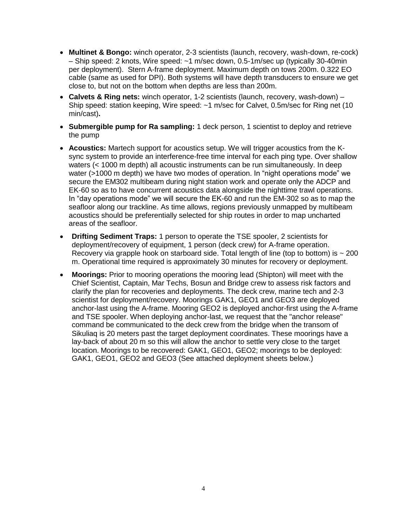- **Multinet & Bongo:** winch operator, 2-3 scientists (launch, recovery, wash-down, re-cock) – Ship speed: 2 knots, Wire speed: ~1 m/sec down, 0.5-1m/sec up (typically 30-40min per deployment). Stern A-frame deployment. Maximum depth on tows 200m. 0.322 EO cable (same as used for DPI). Both systems will have depth transducers to ensure we get close to, but not on the bottom when depths are less than 200m.
- **Calvets & Ring nets:** winch operator, 1-2 scientists (launch, recovery, wash-down) Ship speed: station keeping, Wire speed: ~1 m/sec for Calvet, 0.5m/sec for Ring net (10 min/cast)**.**
- **Submergible pump for Ra sampling:** 1 deck person, 1 scientist to deploy and retrieve the pump
- **Acoustics:** Martech support for acoustics setup. We will trigger acoustics from the Ksync system to provide an interference-free time interval for each ping type. Over shallow waters (< 1000 m depth) all acoustic instruments can be run simultaneously. In deep water (>1000 m depth) we have two modes of operation. In "night operations mode" we secure the EM302 multibeam during night station work and operate only the ADCP and EK-60 so as to have concurrent acoustics data alongside the nighttime trawl operations. In "day operations mode" we will secure the EK-60 and run the EM-302 so as to map the seafloor along our trackline. As time allows, regions previously unmapped by multibeam acoustics should be preferentially selected for ship routes in order to map uncharted areas of the seafloor.
- **Drifting Sediment Traps:** 1 person to operate the TSE spooler, 2 scientists for deployment/recovery of equipment, 1 person (deck crew) for A-frame operation. Recovery via grapple hook on starboard side. Total length of line (top to bottom) is  $\sim$  200 m. Operational time required is approximately 30 minutes for recovery or deployment.
- **Moorings:** Prior to mooring operations the mooring lead (Shipton) will meet with the Chief Scientist, Captain, Mar Techs, Bosun and Bridge crew to assess risk factors and clarify the plan for recoveries and deployments. The deck crew, marine tech and 2-3 scientist for deployment/recovery. Moorings GAK1, GEO1 and GEO3 are deployed anchor-last using the A-frame. Mooring GEO2 is deployed anchor-first using the A-frame and TSE spooler. When deploying anchor-last, we request that the "anchor release" command be communicated to the deck crew from the bridge when the transom of Sikuliaq is 20 meters past the target deployment coordinates. These moorings have a lay-back of about 20 m so this will allow the anchor to settle very close to the target location. Moorings to be recovered: GAK1, GEO1, GEO2; moorings to be deployed: GAK1, GEO1, GEO2 and GEO3 (See attached deployment sheets below.)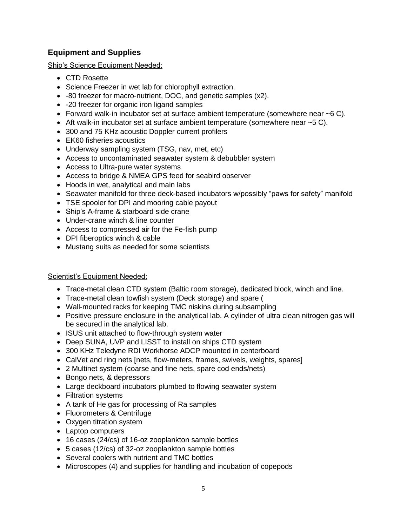### **Equipment and Supplies**

Ship's Science Equipment Needed:

- CTD Rosette
- Science Freezer in wet lab for chlorophyll extraction.
- -80 freezer for macro-nutrient, DOC, and genetic samples (x2).
- -20 freezer for organic iron ligand samples
- Forward walk-in incubator set at surface ambient temperature (somewhere near  $\sim$  6 C).
- $\bullet$  Aft walk-in incubator set at surface ambient temperature (somewhere near  $\sim$  5 C).
- 300 and 75 KHz acoustic Doppler current profilers
- EK60 fisheries acoustics
- Underway sampling system (TSG, nav, met, etc)
- Access to uncontaminated seawater system & debubbler system
- Access to Ultra-pure water systems
- Access to bridge & NMEA GPS feed for seabird observer
- Hoods in wet, analytical and main labs
- Seawater manifold for three deck-based incubators w/possibly "paws for safety" manifold
- TSE spooler for DPI and mooring cable payout
- Ship's A-frame & starboard side crane
- Under-crane winch & line counter
- Access to compressed air for the Fe-fish pump
- DPI fiberoptics winch & cable
- Mustang suits as needed for some scientists

### Scientist's Equipment Needed:

- Trace-metal clean CTD system (Baltic room storage), dedicated block, winch and line.
- Trace-metal clean towfish system (Deck storage) and spare (
- Wall-mounted racks for keeping TMC niskins during subsampling
- Positive pressure enclosure in the analytical lab. A cylinder of ultra clean nitrogen gas will be secured in the analytical lab.
- ISUS unit attached to flow-through system water
- Deep SUNA, UVP and LISST to install on ships CTD system
- 300 KHz Teledyne RDI Workhorse ADCP mounted in centerboard
- CalVet and ring nets [nets, flow-meters, frames, swivels, weights, spares]
- 2 Multinet system (coarse and fine nets, spare cod ends/nets)
- Bongo nets, & depressors
- Large deckboard incubators plumbed to flowing seawater system
- Filtration systems
- A tank of He gas for processing of Ra samples
- Fluorometers & Centrifuge
- Oxygen titration system
- Laptop computers
- 16 cases (24/cs) of 16-oz zooplankton sample bottles
- 5 cases (12/cs) of 32-oz zooplankton sample bottles
- Several coolers with nutrient and TMC bottles
- Microscopes (4) and supplies for handling and incubation of copepods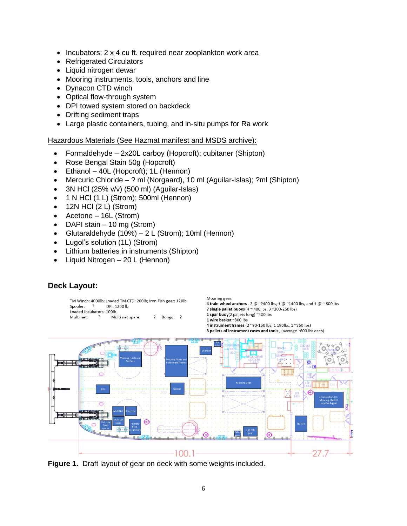- $\bullet$  Incubators: 2 x 4 cu ft. required near zooplankton work area
- Refrigerated Circulators
- Liquid nitrogen dewar
- Mooring instruments, tools, anchors and line
- Dynacon CTD winch
- Optical flow-through system
- DPI towed system stored on backdeck
- Drifting sediment traps
- Large plastic containers, tubing, and in-situ pumps for Ra work

#### Hazardous Materials (See Hazmat manifest and MSDS archive):

- Formaldehyde 2x20L carboy (Hopcroft); cubitaner (Shipton)
- Rose Bengal Stain 50g (Hopcroft)
- Ethanol 40L (Hopcroft); 1L (Hennon)
- Mercuric Chloride ? ml (Norgaard), 10 ml (Aguilar-Islas); ?ml (Shipton)
- 3N HCl (25% v/v) (500 ml) (Aguilar-Islas)
- 1 N HCl (1 L) (Strom); 500ml (Hennon)
- $\bullet$  12N HCl (2 L) (Strom)
- Acetone 16L (Strom)
- DAPI stain  $-10$  mg (Strom)
- Glutaraldehyde (10%) 2 L (Strom); 10ml (Hennon)
- Lugol's solution (1L) (Strom)
- Lithium batteries in instruments (Shipton)
- Liquid Nitrogen 20 L (Hennon)



### **Deck Layout:**

**Figure 1.** Draft layout of gear on deck with some weights included.

27.7

100.1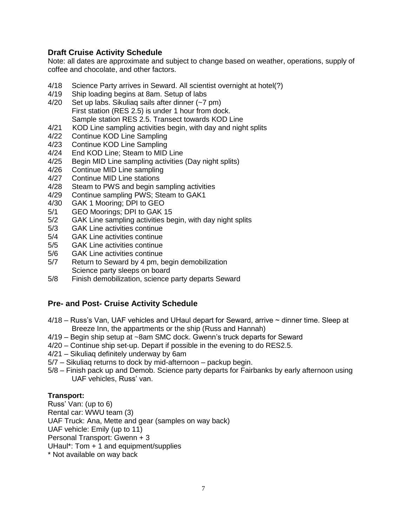### **Draft Cruise Activity Schedule**

Note: all dates are approximate and subject to change based on weather, operations, supply of coffee and chocolate, and other factors.

- 4/18 Science Party arrives in Seward. All scientist overnight at hotel(?)
- 4/19 Ship loading begins at 8am. Setup of labs
- 4/20 Set up labs. Sikuliaq sails after dinner (~7 pm) First station (RES 2.5) is under 1 hour from dock. Sample station RES 2.5. Transect towards KOD Line
- 4/21 KOD Line sampling activities begin, with day and night splits
- 4/22 Continue KOD Line Sampling
- 4/23 Continue KOD Line Sampling
- 4/24 End KOD Line; Steam to MID Line
- 4/25 Begin MID Line sampling activities (Day night splits)
- 4/26 Continue MID Line sampling
- 4/27 Continue MID Line stations
- 4/28 Steam to PWS and begin sampling activities
- 4/29 Continue sampling PWS; Steam to GAK1
- 4/30 GAK 1 Mooring; DPI to GEO
- 5/1 GEO Moorings; DPI to GAK 15
- 5/2 GAK Line sampling activities begin, with day night splits
- 5/3 GAK Line activities continue
- 5/4 GAK Line activities continue
- 5/5 GAK Line activities continue
- 5/6 GAK Line activities continue
- 5/7 Return to Seward by 4 pm, begin demobilization Science party sleeps on board
- 5/8 Finish demobilization, science party departs Seward

### **Pre- and Post- Cruise Activity Schedule**

- 4/18 Russ's Van, UAF vehicles and UHaul depart for Seward, arrive ~ dinner time. Sleep at Breeze Inn, the appartments or the ship (Russ and Hannah)
- 4/19 Begin ship setup at ~8am SMC dock. Gwenn's truck departs for Seward
- 4/20 Continue ship set-up. Depart if possible in the evening to do RES2.5.
- 4/21 Sikuliaq definitely underway by 6am
- 5/7 Sikuliaq returns to dock by mid-afternoon packup begin.
- 5/8 Finish pack up and Demob. Science party departs for Fairbanks by early afternoon using UAF vehicles, Russ' van.

#### **Transport:**

Russ' Van: (up to 6) Rental car: WWU team (3) UAF Truck: Ana, Mette and gear (samples on way back) UAF vehicle: Emily (up to 11) Personal Transport: Gwenn + 3 UHaul\*: Tom + 1 and equipment/supplies \* Not available on way back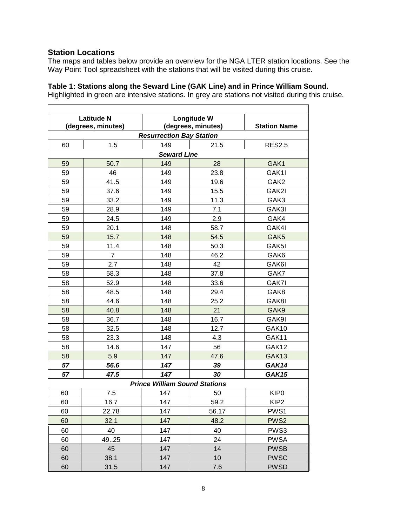### **Station Locations**

The maps and tables below provide an overview for the NGA LTER station locations. See the Way Point Tool spreadsheet with the stations that will be visited during this cruise.

### **Table 1: Stations along the Seward Line (GAK Line) and in Prince William Sound.**

Highlighted in green are intensive stations. In grey are stations not visited during this cruise.

| <b>Latitude N</b>                    |                    | <b>Longitude W</b> |       |                     |  |  |  |
|--------------------------------------|--------------------|--------------------|-------|---------------------|--|--|--|
|                                      | (degrees, minutes) | (degrees, minutes) |       | <b>Station Name</b> |  |  |  |
| <b>Resurrection Bay Station</b>      |                    |                    |       |                     |  |  |  |
| 60                                   | 1.5                | 149                | 21.5  | <b>RES2.5</b>       |  |  |  |
|                                      | <b>Seward Line</b> |                    |       |                     |  |  |  |
| 59                                   | 50.7               | 149                | 28    | GAK1                |  |  |  |
| 59                                   | 46                 | 149                | 23.8  | GAK1I               |  |  |  |
| 59                                   | 41.5               | 149                | 19.6  | GAK2                |  |  |  |
| 59                                   | 37.6               | 149                | 15.5  | GAK2I               |  |  |  |
| 59                                   | 33.2               | 149                | 11.3  | GAK3                |  |  |  |
| 59                                   | 28.9               | 149                | 7.1   | GAK3I               |  |  |  |
| 59                                   | 24.5               | 149                | 2.9   | GAK4                |  |  |  |
| 59                                   | 20.1               | 148                | 58.7  | GAK4I               |  |  |  |
| 59                                   | 15.7               | 148                | 54.5  | GAK <sub>5</sub>    |  |  |  |
| 59                                   | 11.4               | 148                | 50.3  | GAK5I               |  |  |  |
| 59                                   | 7                  | 148                | 46.2  | GAK6                |  |  |  |
| 59                                   | 2.7                | 148                | 42    | GAK6I               |  |  |  |
| 58                                   | 58.3               | 148                | 37.8  | GAK7                |  |  |  |
| 58                                   | 52.9               | 148                | 33.6  | GAK7I               |  |  |  |
| 58                                   | 48.5               | 148                | 29.4  | GAK8                |  |  |  |
| 58                                   | 44.6               | 148                | 25.2  | GAK8I               |  |  |  |
| 58                                   | 40.8               | 148                | 21    | GAK9                |  |  |  |
| 58                                   | 36.7               | 148                | 16.7  | GAK9I               |  |  |  |
| 58                                   | 32.5               | 148                | 12.7  | GAK10               |  |  |  |
| 58                                   | 23.3               | 148                | 4.3   | GAK11               |  |  |  |
| 58                                   | 14.6               | 147                | 56    | GAK12               |  |  |  |
| 58                                   | 5.9                | 147                | 47.6  | GAK13               |  |  |  |
| 57                                   | 56.6               | 147                | 39    | GAK14               |  |  |  |
| 57                                   | 47.5               | 147                | 30    | GAK15               |  |  |  |
| <b>Prince William Sound Stations</b> |                    |                    |       |                     |  |  |  |
| 60                                   | 7.5                | 147                | 50    | KIP <sub>0</sub>    |  |  |  |
| 60                                   | 16.7               | 147                | 59.2  | KIP <sub>2</sub>    |  |  |  |
| 60                                   | 22.78              | 147                | 56.17 | PWS1                |  |  |  |
| 60                                   | 32.1               | 147                | 48.2  | PWS <sub>2</sub>    |  |  |  |
| 60                                   | 40                 | 147                | 40    | PWS3                |  |  |  |
| 60                                   | 49.25              | 147                | 24    | <b>PWSA</b>         |  |  |  |
| 60                                   | 45                 | 147                | 14    | <b>PWSB</b>         |  |  |  |
| 60                                   | 38.1               | 147                | 10    | <b>PWSC</b>         |  |  |  |
| 60                                   | 31.5               | 147                | 7.6   | <b>PWSD</b>         |  |  |  |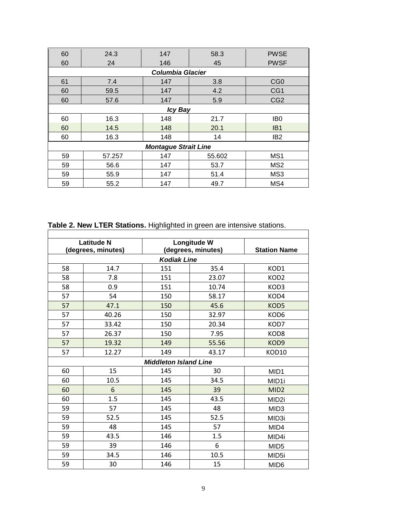| 60                          | 24.3           | 147 | 58.3   | <b>PWSE</b>     |  |  |
|-----------------------------|----------------|-----|--------|-----------------|--|--|
| 60                          | 24             | 146 | 45     | <b>PWSF</b>     |  |  |
| <b>Columbia Glacier</b>     |                |     |        |                 |  |  |
| 61                          | 7.4            | 147 | 3.8    | CG <sub>0</sub> |  |  |
| 60                          | 59.5           | 147 | 4.2    | CG1             |  |  |
| 60                          | 57.6           | 147 | 5.9    | CG <sub>2</sub> |  |  |
|                             | <b>Icy Bay</b> |     |        |                 |  |  |
| 60                          | 16.3           | 148 | 21.7   | IB <sub>0</sub> |  |  |
| 60                          | 14.5           | 148 | 20.1   | IB <sub>1</sub> |  |  |
| 60                          | 16.3           | 148 | 14     | IB <sub>2</sub> |  |  |
| <b>Montague Strait Line</b> |                |     |        |                 |  |  |
| 59                          | 57.257         | 147 | 55.602 | MS1             |  |  |
| 59                          | 56.6           | 147 | 53.7   | MS <sub>2</sub> |  |  |
| 59                          | 55.9           | 147 | 51.4   | MS3             |  |  |
| 59                          | 55.2           | 147 | 49.7   | MS4             |  |  |

**Table 2. New LTER Stations.** Highlighted in green are intensive stations.

| <b>Latitude N</b>            |       | Longitude W        |       |                     |  |
|------------------------------|-------|--------------------|-------|---------------------|--|
| (degrees, minutes)           |       | (degrees, minutes) |       | <b>Station Name</b> |  |
| <b>Kodiak Line</b>           |       |                    |       |                     |  |
| 58                           | 14.7  | 151                | 35.4  | KOD1                |  |
| 58                           | 7.8   | 151                | 23.07 | KOD <sub>2</sub>    |  |
| 58                           | 0.9   | 151                | 10.74 | KOD3                |  |
| 57                           | 54    | 150                | 58.17 | KOD4                |  |
| 57                           | 47.1  | 150                | 45.6  | KOD5                |  |
| 57                           | 40.26 | 150                | 32.97 | KOD6                |  |
| 57                           | 33.42 | 150                | 20.34 | KOD7                |  |
| 57                           | 26.37 | 150                | 7.95  | KOD <sub>8</sub>    |  |
| 57                           | 19.32 | 149                | 55.56 | KOD <sub>9</sub>    |  |
| 57                           | 12.27 | 149                | 43.17 | KOD10               |  |
| <b>Middleton Island Line</b> |       |                    |       |                     |  |
| 60                           | 15    | 145                | 30    | MID <sub>1</sub>    |  |
| 60                           | 10.5  | 145                | 34.5  | MID1i               |  |
| 60                           | 6     | 145                | 39    | MID <sub>2</sub>    |  |
| 60                           | 1.5   | 145                | 43.5  | MID <sub>2i</sub>   |  |
| 59                           | 57    | 145                | 48    | MID <sub>3</sub>    |  |
| 59                           | 52.5  | 145                | 52.5  | MID3i               |  |
| 59                           | 48    | 145                | 57    | MID4                |  |
| 59                           | 43.5  | 146                | 1.5   | MID4i               |  |
| 59                           | 39    | 146                | 6     | MID <sub>5</sub>    |  |
| 59                           | 34.5  | 146                | 10.5  | MID5i               |  |
| 59                           | 30    | 146                | 15    | MID <sub>6</sub>    |  |